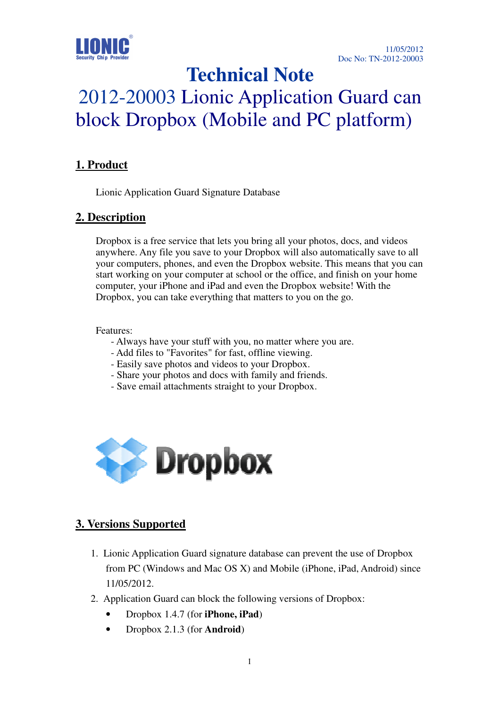

# **Technical Note**

# 2012-20003 Lionic Application Guard can block Dropbox (Mobile and PC platform)

# **1. Product**

Lionic Application Guard Signature Database

#### **2. Description**

Dropbox is a free service that lets you bring all your photos, docs, and videos anywhere. Any file you save to your Dropbox will also automatically save to all your computers, phones, and even the Dropbox website. This means that you can start working on your computer at school or the office, and finish on your home computer, your iPhone and iPad and even the Dropbox website! With the Dropbox, you can take everything that matters to you on the go.

#### Features:

- Always have your stuff with you, no matter where you are.
- Add files to "Favorites" for fast, offline viewing.
- Easily save photos and videos to your Dropbox.
- Share your photos and docs with family and friends.
- Save email attachments straight to your Dropbox.



### **3. Versions Supported**

- 1. Lionic Application Guard signature database can prevent the use of Dropbox from PC (Windows and Mac OS X) and Mobile (iPhone, iPad, Android) since 11/05/2012.
- 2. Application Guard can block the following versions of Dropbox:
	- Dropbox 1.4.7 (for **iPhone, iPad**)
	- Dropbox 2.1.3 (for **Android**)